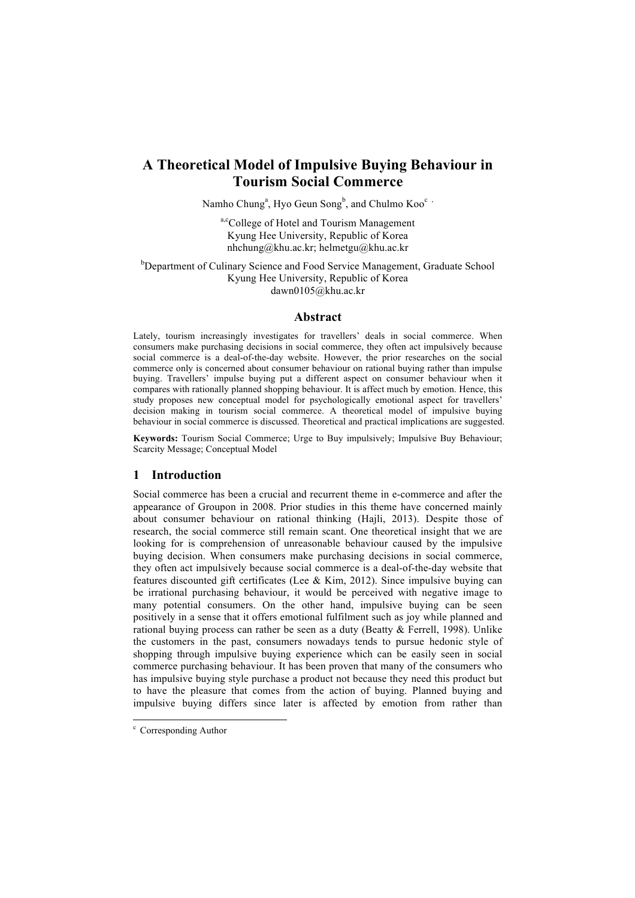# **A Theoretical Model of Impulsive Buying Behaviour in Tourism Social Commerce**

Namho Chung<sup>a</sup>, Hyo Geun Song<sup>b</sup>, and Chulmo Koo<sup>c,</sup>

a,c<sup>c</sup>ollege of Hotel and Tourism Management Kyung Hee University, Republic of Korea nhchung@khu.ac.kr; helmetgu@khu.ac.kr

<sup>b</sup>Department of Culinary Science and Food Service Management, Graduate School Kyung Hee University, Republic of Korea dawn0105@khu.ac.kr

## **Abstract**

Lately, tourism increasingly investigates for travellers' deals in social commerce. When consumers make purchasing decisions in social commerce, they often act impulsively because social commerce is a deal-of-the-day website. However, the prior researches on the social commerce only is concerned about consumer behaviour on rational buying rather than impulse buying. Travellers' impulse buying put a different aspect on consumer behaviour when it compares with rationally planned shopping behaviour. It is affect much by emotion. Hence, this study proposes new conceptual model for psychologically emotional aspect for travellers' decision making in tourism social commerce. A theoretical model of impulsive buying behaviour in social commerce is discussed. Theoretical and practical implications are suggested.

**Keywords:** Tourism Social Commerce; Urge to Buy impulsively; Impulsive Buy Behaviour; Scarcity Message; Conceptual Model

# **1 Introduction**

Social commerce has been a crucial and recurrent theme in e-commerce and after the appearance of Groupon in 2008. Prior studies in this theme have concerned mainly about consumer behaviour on rational thinking (Hajli, 2013). Despite those of research, the social commerce still remain scant. One theoretical insight that we are looking for is comprehension of unreasonable behaviour caused by the impulsive buying decision. When consumers make purchasing decisions in social commerce, they often act impulsively because social commerce is a deal-of-the-day website that features discounted gift certificates (Lee & Kim, 2012). Since impulsive buying can be irrational purchasing behaviour, it would be perceived with negative image to many potential consumers. On the other hand, impulsive buying can be seen positively in a sense that it offers emotional fulfilment such as joy while planned and rational buying process can rather be seen as a duty (Beatty & Ferrell, 1998). Unlike the customers in the past, consumers nowadays tends to pursue hedonic style of shopping through impulsive buying experience which can be easily seen in social commerce purchasing behaviour. It has been proven that many of the consumers who has impulsive buying style purchase a product not because they need this product but to have the pleasure that comes from the action of buying. Planned buying and impulsive buying differs since later is affected by emotion from rather than

 $\degree$  Corresponding Author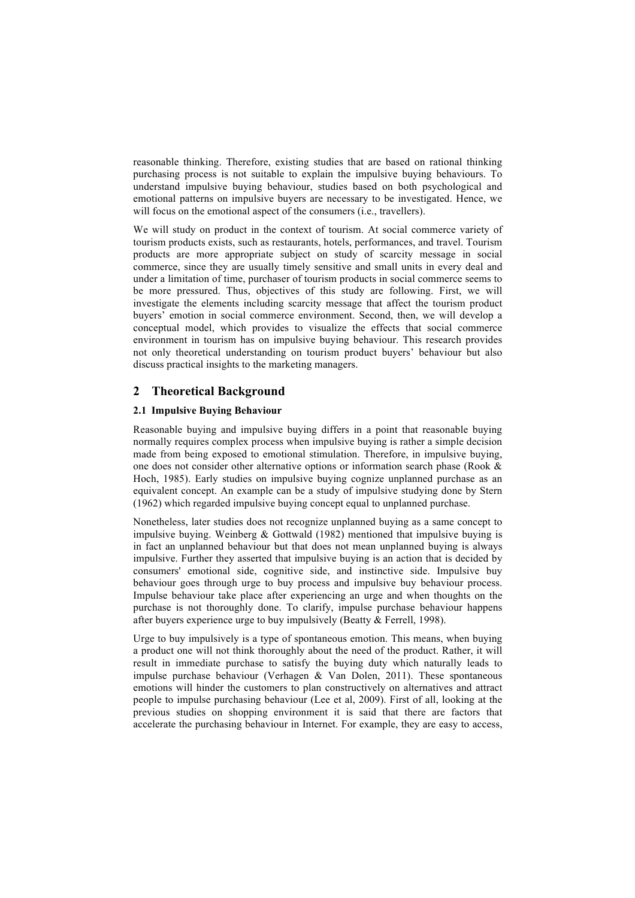reasonable thinking. Therefore, existing studies that are based on rational thinking purchasing process is not suitable to explain the impulsive buying behaviours. To understand impulsive buying behaviour, studies based on both psychological and emotional patterns on impulsive buyers are necessary to be investigated. Hence, we will focus on the emotional aspect of the consumers (i.e., travellers).

We will study on product in the context of tourism. At social commerce variety of tourism products exists, such as restaurants, hotels, performances, and travel. Tourism products are more appropriate subject on study of scarcity message in social commerce, since they are usually timely sensitive and small units in every deal and under a limitation of time, purchaser of tourism products in social commerce seems to be more pressured. Thus, objectives of this study are following. First, we will investigate the elements including scarcity message that affect the tourism product buyers' emotion in social commerce environment. Second, then, we will develop a conceptual model, which provides to visualize the effects that social commerce environment in tourism has on impulsive buying behaviour. This research provides not only theoretical understanding on tourism product buyers' behaviour but also discuss practical insights to the marketing managers.

# **2 Theoretical Background**

## **2.1 Impulsive Buying Behaviour**

Reasonable buying and impulsive buying differs in a point that reasonable buying normally requires complex process when impulsive buying is rather a simple decision made from being exposed to emotional stimulation. Therefore, in impulsive buying, one does not consider other alternative options or information search phase (Rook & Hoch, 1985). Early studies on impulsive buying cognize unplanned purchase as an equivalent concept. An example can be a study of impulsive studying done by Stern (1962) which regarded impulsive buying concept equal to unplanned purchase.

Nonetheless, later studies does not recognize unplanned buying as a same concept to impulsive buying. Weinberg & Gottwald (1982) mentioned that impulsive buying is in fact an unplanned behaviour but that does not mean unplanned buying is always impulsive. Further they asserted that impulsive buying is an action that is decided by consumers' emotional side, cognitive side, and instinctive side. Impulsive buy behaviour goes through urge to buy process and impulsive buy behaviour process. Impulse behaviour take place after experiencing an urge and when thoughts on the purchase is not thoroughly done. To clarify, impulse purchase behaviour happens after buyers experience urge to buy impulsively (Beatty & Ferrell, 1998).

Urge to buy impulsively is a type of spontaneous emotion. This means, when buying a product one will not think thoroughly about the need of the product. Rather, it will result in immediate purchase to satisfy the buying duty which naturally leads to impulse purchase behaviour (Verhagen & Van Dolen, 2011). These spontaneous emotions will hinder the customers to plan constructively on alternatives and attract people to impulse purchasing behaviour (Lee et al, 2009). First of all, looking at the previous studies on shopping environment it is said that there are factors that accelerate the purchasing behaviour in Internet. For example, they are easy to access,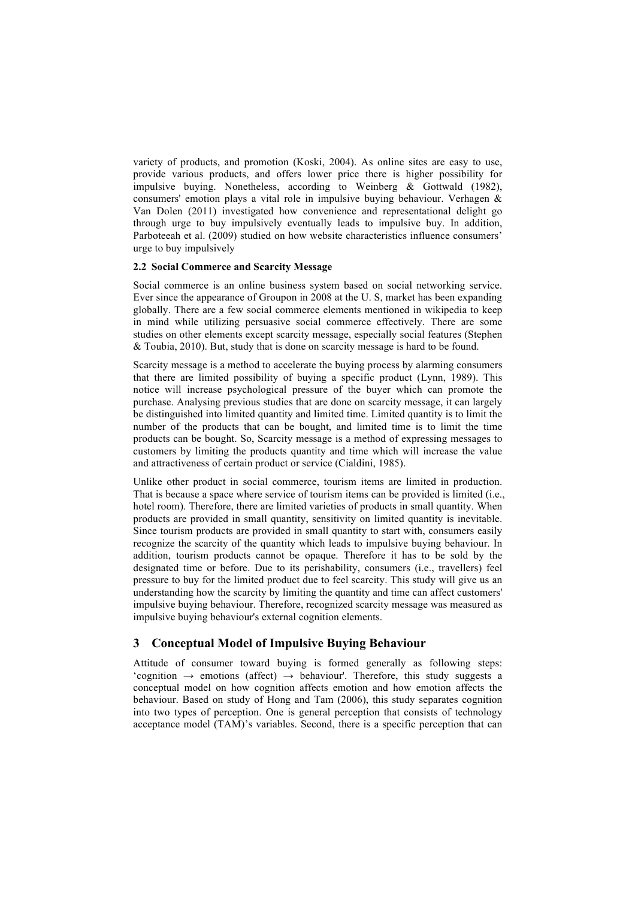variety of products, and promotion (Koski, 2004). As online sites are easy to use, provide various products, and offers lower price there is higher possibility for impulsive buying. Nonetheless, according to Weinberg & Gottwald (1982), consumers' emotion plays a vital role in impulsive buying behaviour. Verhagen & Van Dolen (2011) investigated how convenience and representational delight go through urge to buy impulsively eventually leads to impulsive buy. In addition, Parboteeah et al. (2009) studied on how website characteristics influence consumers' urge to buy impulsively

## **2.2 Social Commerce and Scarcity Message**

Social commerce is an online business system based on social networking service. Ever since the appearance of Groupon in 2008 at the U. S, market has been expanding globally. There are a few social commerce elements mentioned in wikipedia to keep in mind while utilizing persuasive social commerce effectively. There are some studies on other elements except scarcity message, especially social features (Stephen & Toubia, 2010). But, study that is done on scarcity message is hard to be found.

Scarcity message is a method to accelerate the buying process by alarming consumers that there are limited possibility of buying a specific product (Lynn, 1989). This notice will increase psychological pressure of the buyer which can promote the purchase. Analysing previous studies that are done on scarcity message, it can largely be distinguished into limited quantity and limited time. Limited quantity is to limit the number of the products that can be bought, and limited time is to limit the time products can be bought. So, Scarcity message is a method of expressing messages to customers by limiting the products quantity and time which will increase the value and attractiveness of certain product or service (Cialdini, 1985).

Unlike other product in social commerce, tourism items are limited in production. That is because a space where service of tourism items can be provided is limited (i.e., hotel room). Therefore, there are limited varieties of products in small quantity. When products are provided in small quantity, sensitivity on limited quantity is inevitable. Since tourism products are provided in small quantity to start with, consumers easily recognize the scarcity of the quantity which leads to impulsive buying behaviour. In addition, tourism products cannot be opaque. Therefore it has to be sold by the designated time or before. Due to its perishability, consumers (i.e., travellers) feel pressure to buy for the limited product due to feel scarcity. This study will give us an understanding how the scarcity by limiting the quantity and time can affect customers' impulsive buying behaviour. Therefore, recognized scarcity message was measured as impulsive buying behaviour's external cognition elements.

# **3 Conceptual Model of Impulsive Buying Behaviour**

Attitude of consumer toward buying is formed generally as following steps: 'cognition  $\rightarrow$  emotions (affect)  $\rightarrow$  behaviour'. Therefore, this study suggests a conceptual model on how cognition affects emotion and how emotion affects the behaviour. Based on study of Hong and Tam (2006), this study separates cognition into two types of perception. One is general perception that consists of technology acceptance model (TAM)'s variables. Second, there is a specific perception that can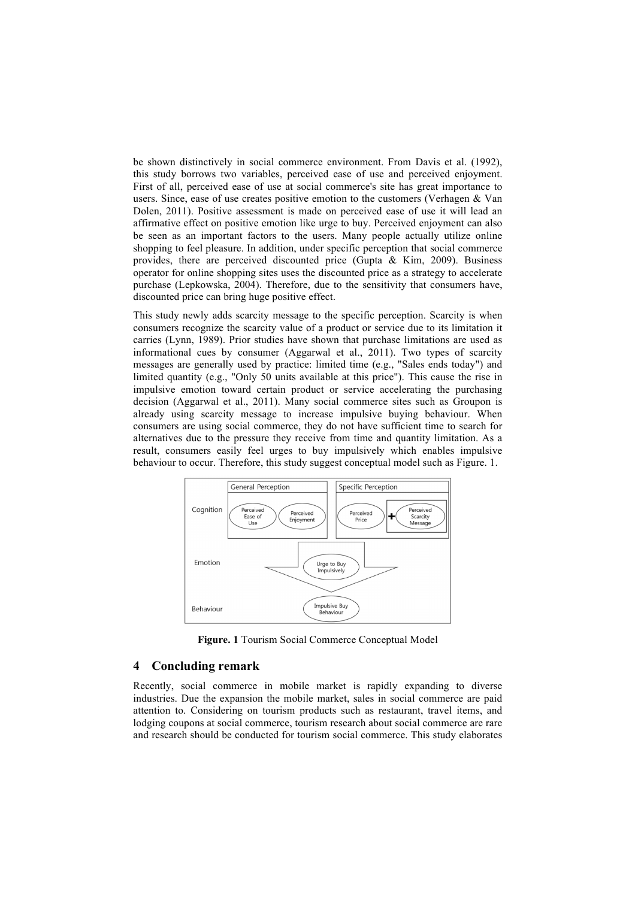be shown distinctively in social commerce environment. From Davis et al. (1992), this study borrows two variables, perceived ease of use and perceived enjoyment. First of all, perceived ease of use at social commerce's site has great importance to users. Since, ease of use creates positive emotion to the customers (Verhagen & Van Dolen, 2011). Positive assessment is made on perceived ease of use it will lead an affirmative effect on positive emotion like urge to buy. Perceived enjoyment can also be seen as an important factors to the users. Many people actually utilize online shopping to feel pleasure. In addition, under specific perception that social commerce provides, there are perceived discounted price (Gupta  $\&$  Kim, 2009). Business operator for online shopping sites uses the discounted price as a strategy to accelerate purchase (Lepkowska, 2004). Therefore, due to the sensitivity that consumers have, discounted price can bring huge positive effect.

This study newly adds scarcity message to the specific perception. Scarcity is when consumers recognize the scarcity value of a product or service due to its limitation it carries (Lynn, 1989). Prior studies have shown that purchase limitations are used as informational cues by consumer (Aggarwal et al., 2011). Two types of scarcity messages are generally used by practice: limited time (e.g., "Sales ends today") and limited quantity (e.g., "Only 50 units available at this price"). This cause the rise in impulsive emotion toward certain product or service accelerating the purchasing decision (Aggarwal et al., 2011). Many social commerce sites such as Groupon is already using scarcity message to increase impulsive buying behaviour. When consumers are using social commerce, they do not have sufficient time to search for alternatives due to the pressure they receive from time and quantity limitation. As a result, consumers easily feel urges to buy impulsively which enables impulsive behaviour to occur. Therefore, this study suggest conceptual model such as Figure. 1.



**Figure. 1** Tourism Social Commerce Conceptual Model

## **4 Concluding remark**

Recently, social commerce in mobile market is rapidly expanding to diverse industries. Due the expansion the mobile market, sales in social commerce are paid attention to. Considering on tourism products such as restaurant, travel items, and lodging coupons at social commerce, tourism research about social commerce are rare and research should be conducted for tourism social commerce. This study elaborates